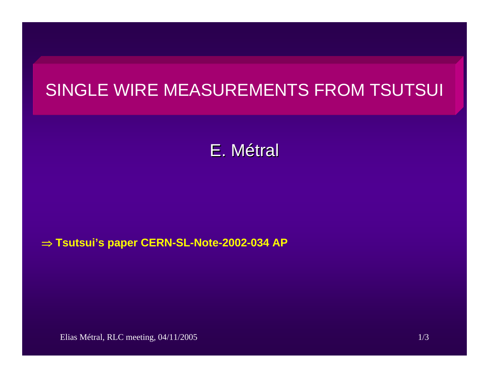# SINGLE WIRE MEASUREMENTS FROM TSUTSUI

# E. M étral

#### ⇒ **Tsutsui's paper CERN-SL-Note-2002-034 AP**

Elias Métral, RLC meeting, 04/11/2005 1/3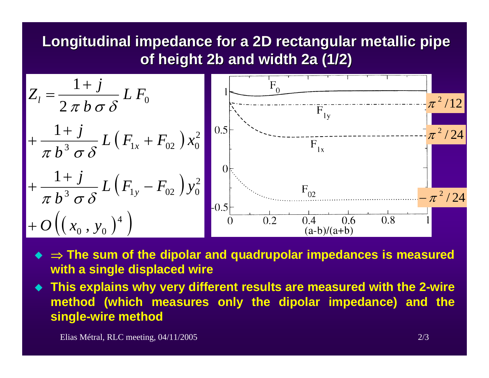## **Longitudinal impedance for a 2D rectangular metallic pipe of height 2b and width 2a (1/2) of height 2b and width 2a (1/2)**



- ⇒ **The sum of the dipolar and quadrupolar impedances is measured with a single displaced wire**
- **This explains why very different results are measured with the 2-wire method (which measures only the dipolar impedance) and the single-wire method**